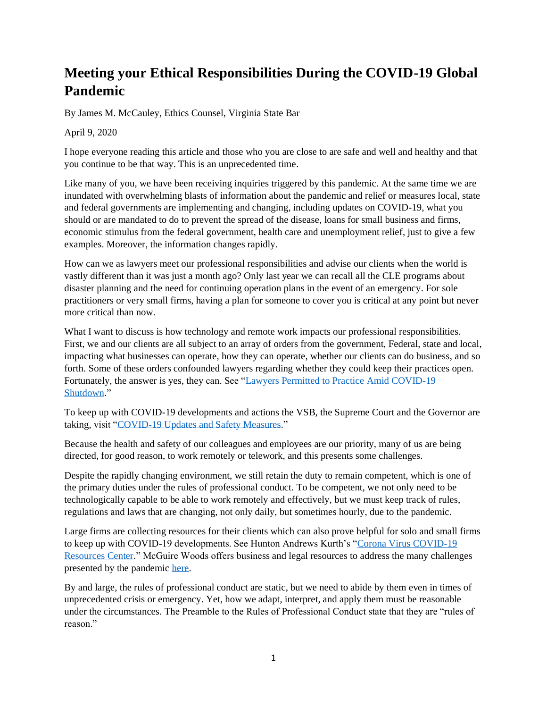## **Meeting your Ethical Responsibilities During the COVID-19 Global Pandemic**

By James M. McCauley, Ethics Counsel, Virginia State Bar

## April 9, 2020

I hope everyone reading this article and those who you are close to are safe and well and healthy and that you continue to be that way. This is an unprecedented time.

Like many of you, we have been receiving inquiries triggered by this pandemic. At the same time we are inundated with overwhelming blasts of information about the pandemic and relief or measures local, state and federal governments are implementing and changing, including updates on COVID-19, what you should or are mandated to do to prevent the spread of the disease, loans for small business and firms, economic stimulus from the federal government, health care and unemployment relief, just to give a few examples. Moreover, the information changes rapidly.

How can we as lawyers meet our professional responsibilities and advise our clients when the world is vastly different than it was just a month ago? Only last year we can recall all the CLE programs about disaster planning and the need for continuing operation plans in the event of an emergency. For sole practitioners or very small firms, having a plan for someone to cover you is critical at any point but never more critical than now.

What I want to discuss is how technology and remote work impacts our professional responsibilities. First, we and our clients are all subject to an array of orders from the government, Federal, state and local, impacting what businesses can operate, how they can operate, whether our clients can do business, and so forth. Some of these orders confounded lawyers regarding whether they could keep their practices open. Fortunately, the answer is yes, they can. See ["Lawyers Permitted to Practice Amid COVID-19](https://www.vsb.org/site/news/item/lawyers_covid_19_shutdown)  [Shutdown.](https://www.vsb.org/site/news/item/lawyers_covid_19_shutdown)"

To keep up with COVID-19 developments and actions the VSB, the Supreme Court and the Governor are taking, visit ["COVID-19 Updates and Safety Measures.](https://www.vsb.org/site/news/item/covid_19_safety_measures)"

Because the health and safety of our colleagues and employees are our priority, many of us are being directed, for good reason, to work remotely or telework, and this presents some challenges.

Despite the rapidly changing environment, we still retain the duty to remain competent, which is one of the primary duties under the rules of professional conduct. To be competent, we not only need to be technologically capable to be able to work remotely and effectively, but we must keep track of rules, regulations and laws that are changing, not only daily, but sometimes hourly, due to the pandemic.

Large firms are collecting resources for their clients which can also prove helpful for solo and small firms to keep up with COVID-19 developments. See Hunton Andrews Kurth's ["Corona Virus COVID-19](https://www.huntonak.com/en/coronavirus-resource-center/)  [Resources Center.](https://www.huntonak.com/en/coronavirus-resource-center/)" McGuire Woods offers business and legal resources to address the many challenges presented by the pandemic [here.](https://www.mcguirewoods.com/coronavirus-impact)

By and large, the rules of professional conduct are static, but we need to abide by them even in times of unprecedented crisis or emergency. Yet, how we adapt, interpret, and apply them must be reasonable under the circumstances. The Preamble to the Rules of Professional Conduct state that they are "rules of reason."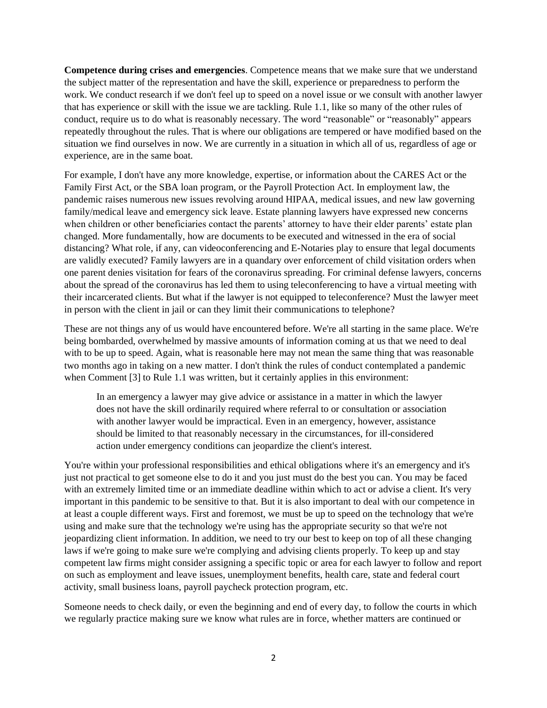**Competence during crises and emergencies**. Competence means that we make sure that we understand the subject matter of the representation and have the skill, experience or preparedness to perform the work. We conduct research if we don't feel up to speed on a novel issue or we consult with another lawyer that has experience or skill with the issue we are tackling. Rule 1.1, like so many of the other rules of conduct, require us to do what is reasonably necessary. The word "reasonable" or "reasonably" appears repeatedly throughout the rules. That is where our obligations are tempered or have modified based on the situation we find ourselves in now. We are currently in a situation in which all of us, regardless of age or experience, are in the same boat.

For example, I don't have any more knowledge, expertise, or information about the CARES Act or the Family First Act, or the SBA loan program, or the Payroll Protection Act. In employment law, the pandemic raises numerous new issues revolving around HIPAA, medical issues, and new law governing family/medical leave and emergency sick leave. Estate planning lawyers have expressed new concerns when children or other beneficiaries contact the parents' attorney to have their elder parents' estate plan changed. More fundamentally, how are documents to be executed and witnessed in the era of social distancing? What role, if any, can videoconferencing and E-Notaries play to ensure that legal documents are validly executed? Family lawyers are in a quandary over enforcement of child visitation orders when one parent denies visitation for fears of the coronavirus spreading. For criminal defense lawyers, concerns about the spread of the coronavirus has led them to using teleconferencing to have a virtual meeting with their incarcerated clients. But what if the lawyer is not equipped to teleconference? Must the lawyer meet in person with the client in jail or can they limit their communications to telephone?

These are not things any of us would have encountered before. We're all starting in the same place. We're being bombarded, overwhelmed by massive amounts of information coming at us that we need to deal with to be up to speed. Again, what is reasonable here may not mean the same thing that was reasonable two months ago in taking on a new matter. I don't think the rules of conduct contemplated a pandemic when Comment [3] to Rule 1.1 was written, but it certainly applies in this environment:

In an emergency a lawyer may give advice or assistance in a matter in which the lawyer does not have the skill ordinarily required where referral to or consultation or association with another lawyer would be impractical. Even in an emergency, however, assistance should be limited to that reasonably necessary in the circumstances, for ill-considered action under emergency conditions can jeopardize the client's interest.

You're within your professional responsibilities and ethical obligations where it's an emergency and it's just not practical to get someone else to do it and you just must do the best you can. You may be faced with an extremely limited time or an immediate deadline within which to act or advise a client. It's very important in this pandemic to be sensitive to that. But it is also important to deal with our competence in at least a couple different ways. First and foremost, we must be up to speed on the technology that we're using and make sure that the technology we're using has the appropriate security so that we're not jeopardizing client information. In addition, we need to try our best to keep on top of all these changing laws if we're going to make sure we're complying and advising clients properly. To keep up and stay competent law firms might consider assigning a specific topic or area for each lawyer to follow and report on such as employment and leave issues, unemployment benefits, health care, state and federal court activity, small business loans, payroll paycheck protection program, etc.

Someone needs to check daily, or even the beginning and end of every day, to follow the courts in which we regularly practice making sure we know what rules are in force, whether matters are continued or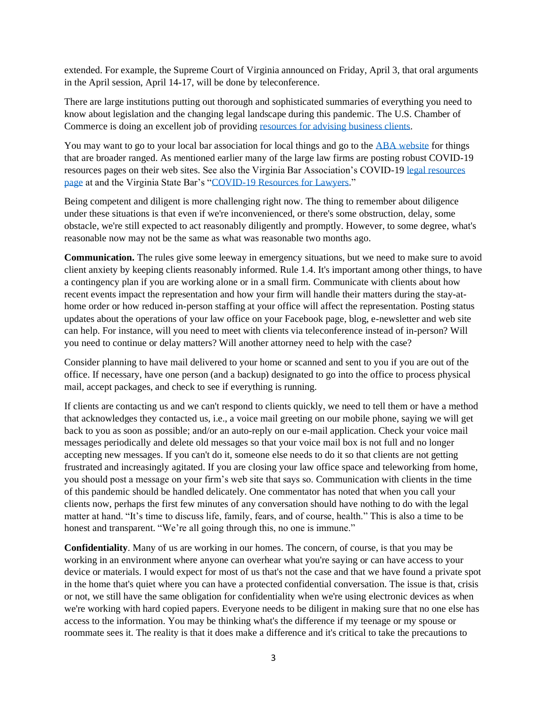extended. For example, the Supreme Court of Virginia announced on Friday, April 3, that oral arguments in the April session, April 14-17, will be done by teleconference.

There are large institutions putting out thorough and sophisticated summaries of everything you need to know about legislation and the changing legal landscape during this pandemic. The U.S. Chamber of Commerce is doing an excellent job of providin[g resources for advising business clients.](https://www.uschamber.com/coronavirus)

You may want to go to your local bar association for local things and go to the [ABA website](https://www.americanbar.org/advocacy/the-aba-task-force-on-legal-needs-arising-out-of-the-2020-pandem/) for things that are broader ranged. As mentioned earlier many of the large law firms are posting robust COVID-19 resources pages on their web sites. See also the Virginia Bar Association's COVID-19 [legal resources](https://www.vba.org/page/covid-resources#vba)  [page](https://www.vba.org/page/covid-resources#vba) at and the Virginia State Bar's ["COVID-19 Resources for Lawyers.](https://www.vsb.org/site/news/item/law_practice_covid19)"

Being competent and diligent is more challenging right now. The thing to remember about diligence under these situations is that even if we're inconvenienced, or there's some obstruction, delay, some obstacle, we're still expected to act reasonably diligently and promptly. However, to some degree, what's reasonable now may not be the same as what was reasonable two months ago.

**Communication.** The rules give some leeway in emergency situations, but we need to make sure to avoid client anxiety by keeping clients reasonably informed. Rule 1.4. It's important among other things, to have a contingency plan if you are working alone or in a small firm. Communicate with clients about how recent events impact the representation and how your firm will handle their matters during the stay-athome order or how reduced in-person staffing at your office will affect the representation. Posting status updates about the operations of your law office on your Facebook page, blog, e-newsletter and web site can help. For instance, will you need to meet with clients via teleconference instead of in-person? Will you need to continue or delay matters? Will another attorney need to help with the case?

Consider planning to have mail delivered to your home or scanned and sent to you if you are out of the office. If necessary, have one person (and a backup) designated to go into the office to process physical mail, accept packages, and check to see if everything is running.

If clients are contacting us and we can't respond to clients quickly, we need to tell them or have a method that acknowledges they contacted us, i.e., a voice mail greeting on our mobile phone, saying we will get back to you as soon as possible; and/or an auto-reply on our e-mail application. Check your voice mail messages periodically and delete old messages so that your voice mail box is not full and no longer accepting new messages. If you can't do it, someone else needs to do it so that clients are not getting frustrated and increasingly agitated. If you are closing your law office space and teleworking from home, you should post a message on your firm's web site that says so. Communication with clients in the time of this pandemic should be handled delicately. One commentator has noted that when you call your clients now, perhaps the first few minutes of any conversation should have nothing to do with the legal matter at hand. "It's time to discuss life, family, fears, and of course, health." This is also a time to be honest and transparent. "We're all going through this, no one is immune."

**Confidentiality**. Many of us are working in our homes. The concern, of course, is that you may be working in an environment where anyone can overhear what you're saying or can have access to your device or materials. I would expect for most of us that's not the case and that we have found a private spot in the home that's quiet where you can have a protected confidential conversation. The issue is that, crisis or not, we still have the same obligation for confidentiality when we're using electronic devices as when we're working with hard copied papers. Everyone needs to be diligent in making sure that no one else has access to the information. You may be thinking what's the difference if my teenage or my spouse or roommate sees it. The reality is that it does make a difference and it's critical to take the precautions to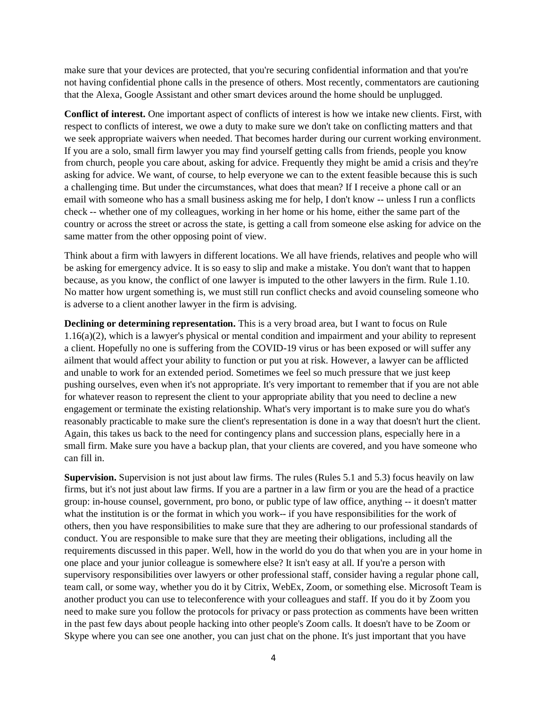make sure that your devices are protected, that you're securing confidential information and that you're not having confidential phone calls in the presence of others. Most recently, commentators are cautioning that the Alexa, Google Assistant and other smart devices around the home should be unplugged.

**Conflict of interest.** One important aspect of conflicts of interest is how we intake new clients. First, with respect to conflicts of interest, we owe a duty to make sure we don't take on conflicting matters and that we seek appropriate waivers when needed. That becomes harder during our current working environment. If you are a solo, small firm lawyer you may find yourself getting calls from friends, people you know from church, people you care about, asking for advice. Frequently they might be amid a crisis and they're asking for advice. We want, of course, to help everyone we can to the extent feasible because this is such a challenging time. But under the circumstances, what does that mean? If I receive a phone call or an email with someone who has a small business asking me for help, I don't know -- unless I run a conflicts check -- whether one of my colleagues, working in her home or his home, either the same part of the country or across the street or across the state, is getting a call from someone else asking for advice on the same matter from the other opposing point of view.

Think about a firm with lawyers in different locations. We all have friends, relatives and people who will be asking for emergency advice. It is so easy to slip and make a mistake. You don't want that to happen because, as you know, the conflict of one lawyer is imputed to the other lawyers in the firm. Rule 1.10. No matter how urgent something is, we must still run conflict checks and avoid counseling someone who is adverse to a client another lawyer in the firm is advising.

**Declining or determining representation.** This is a very broad area, but I want to focus on Rule 1.16(a)(2), which is a lawyer's physical or mental condition and impairment and your ability to represent a client. Hopefully no one is suffering from the COVID-19 virus or has been exposed or will suffer any ailment that would affect your ability to function or put you at risk. However, a lawyer can be afflicted and unable to work for an extended period. Sometimes we feel so much pressure that we just keep pushing ourselves, even when it's not appropriate. It's very important to remember that if you are not able for whatever reason to represent the client to your appropriate ability that you need to decline a new engagement or terminate the existing relationship. What's very important is to make sure you do what's reasonably practicable to make sure the client's representation is done in a way that doesn't hurt the client. Again, this takes us back to the need for contingency plans and succession plans, especially here in a small firm. Make sure you have a backup plan, that your clients are covered, and you have someone who can fill in.

**Supervision.** Supervision is not just about law firms. The rules (Rules 5.1 and 5.3) focus heavily on law firms, but it's not just about law firms. If you are a partner in a law firm or you are the head of a practice group: in-house counsel, government, pro bono, or public type of law office, anything -- it doesn't matter what the institution is or the format in which you work-- if you have responsibilities for the work of others, then you have responsibilities to make sure that they are adhering to our professional standards of conduct. You are responsible to make sure that they are meeting their obligations, including all the requirements discussed in this paper. Well, how in the world do you do that when you are in your home in one place and your junior colleague is somewhere else? It isn't easy at all. If you're a person with supervisory responsibilities over lawyers or other professional staff, consider having a regular phone call, team call, or some way, whether you do it by Citrix, WebEx, Zoom, or something else. Microsoft Team is another product you can use to teleconference with your colleagues and staff. If you do it by Zoom you need to make sure you follow the protocols for privacy or pass protection as comments have been written in the past few days about people hacking into other people's Zoom calls. It doesn't have to be Zoom or Skype where you can see one another, you can just chat on the phone. It's just important that you have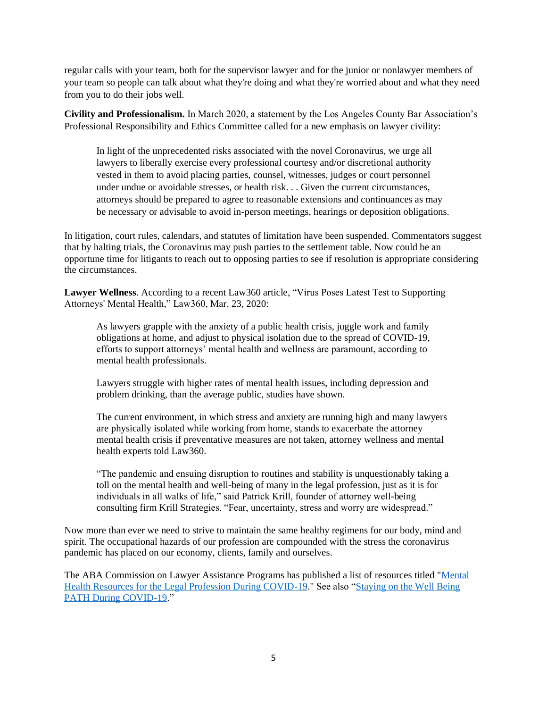regular calls with your team, both for the supervisor lawyer and for the junior or nonlawyer members of your team so people can talk about what they're doing and what they're worried about and what they need from you to do their jobs well.

**Civility and Professionalism.** In March 2020, a statement by the Los Angeles County Bar Association's Professional Responsibility and Ethics Committee called for a new emphasis on lawyer civility:

In light of the unprecedented risks associated with the novel Coronavirus, we urge all lawyers to liberally exercise every professional courtesy and/or discretional authority vested in them to avoid placing parties, counsel, witnesses, judges or court personnel under undue or avoidable stresses, or health risk. . . Given the current circumstances, attorneys should be prepared to agree to reasonable extensions and continuances as may be necessary or advisable to avoid in-person meetings, hearings or deposition obligations.

In litigation, court rules, calendars, and statutes of limitation have been suspended. Commentators suggest that by halting trials, the Coronavirus may push parties to the settlement table. Now could be an opportune time for litigants to reach out to opposing parties to see if resolution is appropriate considering the circumstances.

**Lawyer Wellness**. According to a recent Law360 article, "Virus Poses Latest Test to Supporting Attorneys' Mental Health," Law360, Mar. 23, 2020:

As lawyers grapple with the anxiety of a public health crisis, juggle work and family obligations at home, and adjust to physical isolation due to the spread of COVID-19, efforts to support attorneys' mental health and wellness are paramount, according to mental health professionals.

Lawyers struggle with higher rates of mental health issues, including depression and problem drinking, than the average public, studies have shown.

The current environment, in which stress and anxiety are running high and many lawyers are physically isolated while working from home, stands to exacerbate the attorney mental health crisis if preventative measures are not taken, attorney wellness and mental health experts told Law360.

"The pandemic and ensuing disruption to routines and stability is unquestionably taking a toll on the mental health and well-being of many in the legal profession, just as it is for individuals in all walks of life," said Patrick Krill, founder of attorney well-being consulting firm Krill Strategies. "Fear, uncertainty, stress and worry are widespread."

Now more than ever we need to strive to maintain the same healthy regimens for our body, mind and spirit. The occupational hazards of our profession are compounded with the stress the coronavirus pandemic has placed on our economy, clients, family and ourselves.

The ABA Commission on Lawyer Assistance Programs has published a list of resources titled ["Mental](https://www.americanbar.org/groups/lawyer_assistance/)  [Health Resources for the Legal Profession During COVID-19.](https://www.americanbar.org/groups/lawyer_assistance/)" See also ["Staying on the Well Being](https://www.vsb.org/docs/COVID_wellness.pdf)  [PATH During COVID-19.](https://www.vsb.org/docs/COVID_wellness.pdf)"